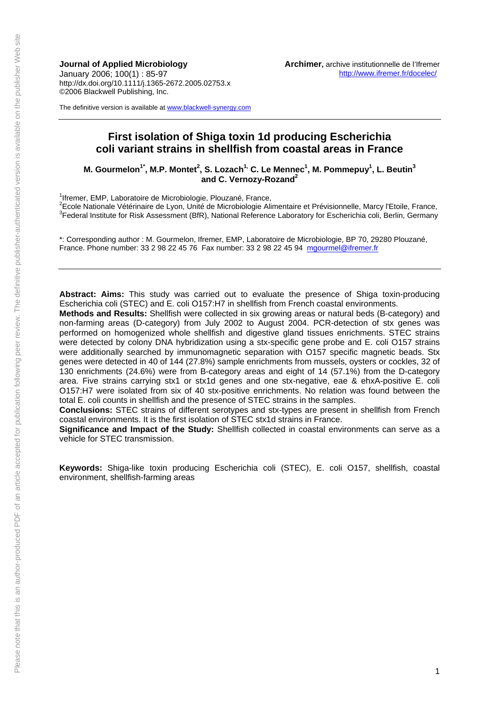**Journal of Applied Microbiology**  January 2006; 100(1) : 85-97 http://dx.doi.org/10.1111/j.1365-2672.2005.02753.x ©2006 Blackwell Publishing, Inc.

The definitive version is available at www.blackwell-synergy.com

# **First isolation of Shiga toxin 1d producing Escherichia coli variant strains in shellfish from coastal areas in France**

M. Gourmelon<sup>1\*</sup>, M.P. Montet<sup>2</sup>, S. Lozach<sup>1,</sup> C. Le Mennec<sup>1</sup>, M. Pommepuy<sup>1</sup>, L. Beutin<sup>3</sup> and C. Vernozy-Rozand<sup>2</sup>

<sup>1</sup> Ifreme[r, EMP, Laboratoire de](mailto:mgourmel@ifremer.fr) Microbiologie, Plouzané, France,

<sup>2</sup>Ecole Nationale Vétérinaire de Lyon, Unité de Microbiologie Alimentaire et Prévisionnelle, Marcy l'Etoile, France,<br><sup>3</sup>Ecolege Institute for Piek Accessment (PfD), National Peterspee Leberston (er Fecharishie sell. Perli <sup>3</sup>Federal Institute for Risk Assessment (BfR), National Reference Laboratory for Escherichia coli, Berlin, Germany

\*: Corresponding author : M. Gourmelon, Ifremer, EMP, Laboratoire de Microbiologie, BP 70, 29280 Plouzané, France. Phone number: 33 2 98 22 45 76 Fax number: 33 2 98 22 45 94 mgourmel@ifremer.fr

**Abstract: Aims:** This study was carried out to evaluate the presence of Shiga toxin-producing Escherichia coli (STEC) and E. coli O157:H7 in shellfish from French coastal environments.

**Methods and Results:** Shellfish were collected in six growing areas or natural beds (B-category) and non-farming areas (D-category) from July 2002 to August 2004. PCR-detection of stx genes was performed on homogenized whole shellfish and digestive gland tissues enrichments. STEC strains were detected by colony DNA hybridization using a stx-specific gene probe and E. coli O157 strains were additionally searched by immunomagnetic separation with O157 specific magnetic beads. Stx genes were detected in 40 of 144 (27.8%) sample enrichments from mussels, oysters or cockles, 32 of 130 enrichments (24.6%) were from B-category areas and eight of 14 (57.1%) from the D-category area. Five strains carrying stx1 or stx1d genes and one stx-negative, eae & ehxA-positive E. coli O157:H7 were isolated from six of 40 stx-positive enrichments. No relation was found between the total E. coli counts in shellfish and the presence of STEC strains in the samples.

**Conclusions:** STEC strains of different serotypes and stx-types are present in shellfish from French coastal environments. It is the first isolation of STEC stx1d strains in France.

**Significance and Impact of the Study:** Shellfish collected in coastal environments can serve as a vehicle for STEC transmission.

**Keywords:** Shiga-like toxin producing Escherichia coli (STEC), E. coli O157, shellfish, coastal environment, shellfish-farming areas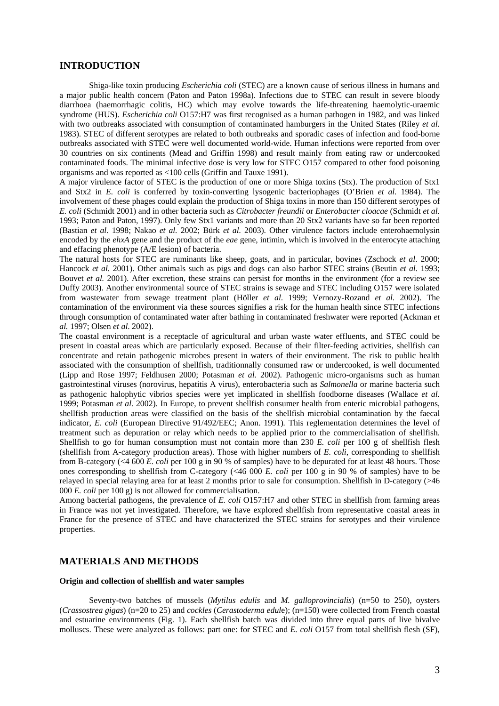# **INTRODUCTION**

 Shiga-like toxin producing *Escherichia coli* (STEC) are a known cause of serious illness in humans and a major public health concern (Paton and Paton 1998a). Infections due to STEC can result in severe bloody diarrhoea (haemorrhagic colitis, HC) which may evolve towards the life-threatening haemolytic-uraemic syndrome (HUS). *Escherichia coli* O157:H7 was first recognised as a human pathogen in 1982, and was linked with two outbreaks associated with consumption of contaminated hamburgers in the United States (Riley *et al*. 1983). STEC of different serotypes are related to both outbreaks and sporadic cases of infection and food-borne outbreaks associated with STEC were well documented world-wide. Human infections were reported from over 30 countries on six continents (Mead and Griffin 1998) and result mainly from eating raw or undercooked contaminated foods. The minimal infective dose is very low for STEC O157 compared to other food poisoning organisms and was reported as <100 cells (Griffin and Tauxe 1991).

A major virulence factor of STEC is the production of one or more Shiga toxins (Stx). The production of Stx1 and Stx2 in *E. coli* is conferred by toxin-converting lysogenic bacteriophages (O'Brien *et al.* 1984). The involvement of these phages could explain the production of Shiga toxins in more than 150 different serotypes of *E. coli* (Schmidt 2001) and in other bacteria such as *Citrobacter freundii* or *Enterobacter cloacae* (Schmidt *et al.* 1993; Paton and Paton, 1997). Only few Stx1 variants and more than 20 Stx2 variants have so far been reported (Bastian *et al.* 1998; Nakao *et al.* 2002; Bürk *et al.* 2003). Other virulence factors include enterohaemolysin encoded by the *ehxA* gene and the product of the *eae* gene, intimin, which is involved in the enterocyte attaching and effacing phenotype (A/E lesion) of bacteria.

The natural hosts for STEC are ruminants like sheep, goats, and in particular, bovines (Zschock *et al*. 2000; Hancock *et al.* 2001). Other animals such as pigs and dogs can also harbor STEC strains (Beutin *et al.* 1993; Bouvet *et al.* 2001). After excretion, these strains can persist for months in the environment (for a review see Duffy 2003). Another environmental source of STEC strains is sewage and STEC including O157 were isolated from wastewater from sewage treatment plant (Höller *et al*. 1999; Vernozy-Rozand *et al.* 2002). The contamination of the environment via these sources signifies a risk for the human health since STEC infections through consumption of contaminated water after bathing in contaminated freshwater were reported (Ackman *et al.* 1997; Olsen *et al*. 2002).

The coastal environment is a receptacle of agricultural and urban waste water effluents, and STEC could be present in coastal areas which are particularly exposed. Because of their filter-feeding activities, shellfish can concentrate and retain pathogenic microbes present in waters of their environment. The risk to public health associated with the consumption of shellfish, traditionnally consumed raw or undercooked, is well documented (Lipp and Rose 1997; Feldhusen 2000; Potasman *et al.* 2002). Pathogenic micro-organisms such as human gastrointestinal viruses (norovirus, hepatitis A virus), enterobacteria such as *Salmonella* or marine bacteria such as pathogenic halophytic vibrios species were yet implicated in shellfish foodborne diseases (Wallace *et al.* 1999; Potasman *et al.* 2002). In Europe, to prevent shellfish consumer health from enteric microbial pathogens, shellfish production areas were classified on the basis of the shellfish microbial contamination by the faecal indicator, *E*. *coli* (European Directive 91/492/EEC; Anon. 1991)*.* This reglementation determines the level of treatment such as depuration or relay which needs to be applied prior to the commercialisation of shellfish. Shellfish to go for human consumption must not contain more than 230 *E. coli* per 100 g of shellfish flesh (shellfish from A-category production areas). Those with higher numbers of *E. coli*, corresponding to shellfish from B-category (<4 600 *E. coli* per 100 g in 90 % of samples) have to be depurated for at least 48 hours. Those ones corresponding to shellfish from C-category (<46 000 *E. coli* per 100 g in 90 % of samples) have to be relayed in special relaying area for at least 2 months prior to sale for consumption. Shellfish in D-category (>46 000 *E. coli* per 100 g) is not allowed for commercialisation.

Among bacterial pathogens, the prevalence of *E. coli* O157:H7 and other STEC in shellfish from farming areas in France was not yet investigated. Therefore, we have explored shellfish from representative coastal areas in France for the presence of STEC and have characterized the STEC strains for serotypes and their virulence properties.

# **MATERIALS AND METHODS**

### **Origin and collection of shellfish and water samples**

 Seventy-two batches of mussels (*Mytilus edulis* and *M. galloprovincialis*) (n=50 to 250), oysters (*Crassostrea gigas*) (n=20 to 25) and *cockles* (*Cerastoderma edul*e); (n=150) were collected from French coastal and estuarine environments (Fig. 1). Each shellfish batch was divided into three equal parts of live bivalve molluscs. These were analyzed as follows: part one: for STEC and *E. coli* O157 from total shellfish flesh (SF),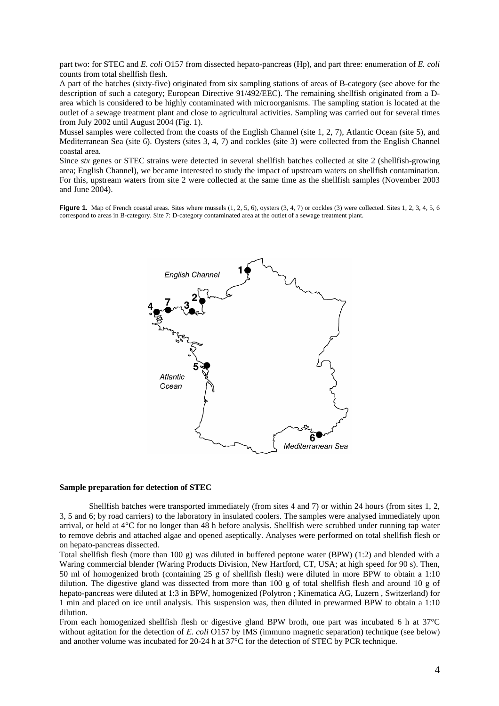part two: for STEC and *E. coli* O157 from dissected hepato-pancreas (Hp), and part three: enumeration of *E. coli* counts from total shellfish flesh.

A part of the batches (sixty-five) originated from six sampling stations of areas of B-category (see above for the description of such a category; European Directive 91/492/EEC). The remaining shellfish originated from a Darea which is considered to be highly contaminated with microorganisms. The sampling station is located at the outlet of a sewage treatment plant and close to agricultural activities. Sampling was carried out for several times from July 2002 until August 2004 (Fig. 1).

Mussel samples were collected from the coasts of the English Channel (site 1, 2, 7), Atlantic Ocean (site 5), and Mediterranean Sea (site 6). Oysters (sites 3, 4, 7) and cockles (site 3) were collected from the English Channel coastal area.

Since *stx* genes or STEC strains were detected in several shellfish batches collected at site 2 (shellfish-growing area; English Channel), we became interested to study the impact of upstream waters on shellfish contamination. For this, upstream waters from site 2 were collected at the same time as the shellfish samples (November 2003 and June 2004).

**Figure 1.** Map of French coastal areas. Sites where mussels (1, 2, 5, 6), oysters (3, 4, 7) or cockles (3) were collected. Sites 1, 2, 3, 4, 5, 6 correspond to areas in B-category. Site 7: D-category contaminated area at the outlet of a sewage treatment plant.



#### **Sample preparation for detection of STEC**

 Shellfish batches were transported immediately (from sites 4 and 7) or within 24 hours (from sites 1, 2, 3, 5 and 6; by road carriers) to the laboratory in insulated coolers. The samples were analysed immediately upon arrival, or held at 4°C for no longer than 48 h before analysis. Shellfish were scrubbed under running tap water to remove debris and attached algae and opened aseptically. Analyses were performed on total shellfish flesh or on hepato-pancreas dissected.

Total shellfish flesh (more than 100 g) was diluted in buffered peptone water (BPW) (1:2) and blended with a Waring commercial blender (Waring Products Division, New Hartford, CT, USA; at high speed for 90 s). Then, 50 ml of homogenized broth (containing 25 g of shellfish flesh) were diluted in more BPW to obtain a 1:10 dilution. The digestive gland was dissected from more than 100 g of total shellfish flesh and around 10 g of hepato-pancreas were diluted at 1:3 in BPW, homogenized (Polytron ; Kinematica AG, Luzern , Switzerland) for 1 min and placed on ice until analysis. This suspension was, then diluted in prewarmed BPW to obtain a 1:10 dilution.

From each homogenized shellfish flesh or digestive gland BPW broth, one part was incubated 6 h at 37°C without agitation for the detection of *E. coli* O157 by IMS (immuno magnetic separation) technique (see below) and another volume was incubated for 20-24 h at 37°C for the detection of STEC by PCR technique.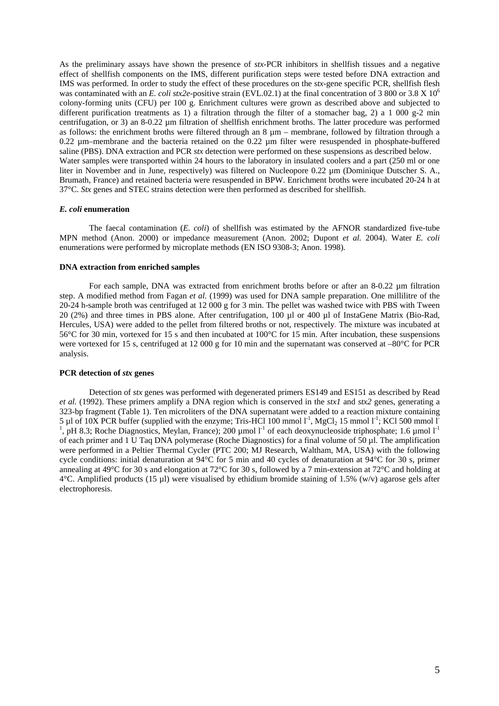As the preliminary assays have shown the presence of *stx*-PCR inhibitors in shellfish tissues and a negative effect of shellfish components on the IMS, different purification steps were tested before DNA extraction and IMS was performed. In order to study the effect of these procedures on the *stx*-gene specific PCR, shellfish flesh was contaminated with an *E. coli stx2e*-positive strain (EVL.02.1) at the final concentration of 3 800 or 3.8 X 10<sup>6</sup> colony-forming units (CFU) per 100 g. Enrichment cultures were grown as described above and subjected to different purification treatments as 1) a filtration through the filter of a stomacher bag, 2) a 1 000 g-2 min centrifugation, or 3) an 8-0.22 µm filtration of shellfish enrichment broths. The latter procedure was performed as follows: the enrichment broths were filtered through an  $8 \mu m$  – membrane, followed by filtration through a 0.22 µm–membrane and the bacteria retained on the 0.22 µm filter were resuspended in phosphate-buffered saline (PBS). DNA extraction and PCR *stx* detection were performed on these suspensions as described below. Water samples were transported within 24 hours to the laboratory in insulated coolers and a part (250 ml or one liter in November and in June, respectively) was filtered on Nucleopore 0.22 µm (Dominique Dutscher S. A., Brumath, France) and retained bacteria were resuspended in BPW. Enrichment broths were incubated 20-24 h at 37°C. *Stx* genes and STEC strains detection were then performed as described for shellfish.

#### *E. coli* **enumeration**

 The faecal contamination (*E. coli*) of shellfish was estimated by the AFNOR standardized five-tube MPN method (Anon. 2000) or impedance measurement (Anon. 2002; Dupont *et al.* 2004). Water *E. coli* enumerations were performed by microplate methods (EN ISO 9308-3; Anon. 1998).

#### **DNA extraction from enriched samples**

For each sample, DNA was extracted from enrichment broths before or after an 8-0.22 µm filtration step. A modified method from Fagan *et al.* (1999) was used for DNA sample preparation. One millilitre of the 20-24 h-sample broth was centrifuged at 12 000 g for 3 min. The pellet was washed twice with PBS with Tween 20 (2%) and three times in PBS alone. After centrifugation, 100 µl or 400 µl of InstaGene Matrix (Bio-Rad, Hercules, USA) were added to the pellet from filtered broths or not, respectively. The mixture was incubated at 56°C for 30 min, vortexed for 15 s and then incubated at 100°C for 15 min. After incubation, these suspensions were vortexed for 15 s, centrifuged at 12 000 g for 10 min and the supernatant was conserved at –80°C for PCR analysis.

#### **PCR detection of** *stx* **genes**

 Detection of *stx* genes was performed with degenerated primers ES149 and ES151 as described by Read *et al.* (1992). These primers amplify a DNA region which is conserved in the *stx1* and *stx2* genes, generating a 323-bp fragment (Table 1). Ten microliters of the DNA supernatant were added to a reaction mixture containing 5 µl of 10X PCR buffer (supplied with the enzyme; Tris-HCl 100 mmol  $1^{-1}$ , MgCl<sub>2</sub> 15 mmol  $1^{-1}$ ; KCl 500 mmol  $1^{-}$ 1 , pH 8.3; Roche Diagnostics, Meylan, France); 200 µmol  $1<sup>-1</sup>$  of each deoxynucleoside triphosphate; 1.6 µmol  $1<sup>-1</sup>$ of each primer and 1 U Taq DNA polymerase (Roche Diagnostics) for a final volume of 50 µl. The amplification were performed in a Peltier Thermal Cycler (PTC 200; MJ Research, Waltham, MA, USA) with the following cycle conditions: initial denaturation at 94°C for 5 min and 40 cycles of denaturation at 94°C for 30 s, primer annealing at 49°C for 30 s and elongation at 72°C for 30 s, followed by a 7 min-extension at 72°C and holding at 4°C. Amplified products (15 µl) were visualised by ethidium bromide staining of 1.5% (w/v) agarose gels after electrophoresis.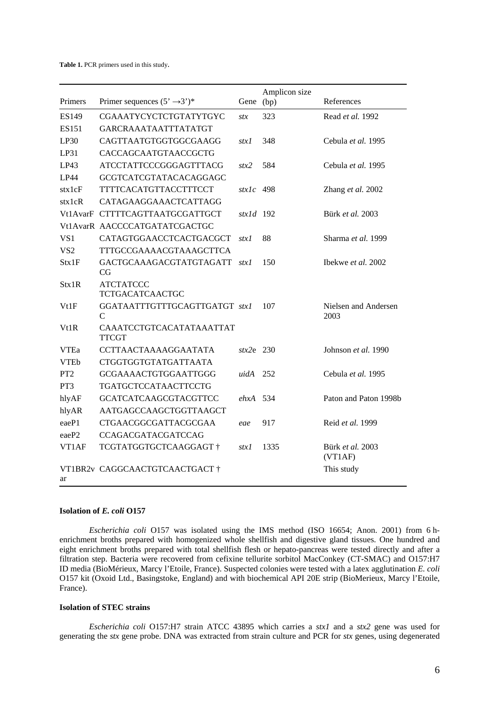**Table 1.** PCR primers used in this study.

| Primers         | Primer sequences $(5, 3)$ *                  | Gene                | Amplicon size<br>(bp) | References                   |
|-----------------|----------------------------------------------|---------------------|-----------------------|------------------------------|
| ES149           | CGAAATYCYCTCTGTATYTGYC                       | stx                 | 323                   | Read et al. 1992             |
| ES151           | GARCRAAATAATTTATATGT                         |                     |                       |                              |
| LP30            | CAGTTAATGTGGTGGCGAAGG                        | stx1                | 348                   | Cebula et al. 1995           |
| LP31            | CACCAGCAATGTAACCGCTG                         |                     |                       |                              |
| LP43            | <b>ATCCTATTCCCGGGAGTTTACG</b>                | stx2                | 584                   | Cebula et al. 1995           |
| LP44            | GCGTCATCGTATACACAGGAGC                       |                     |                       |                              |
| stx1cF          | <b>TTTTCACATGTTACCTTTCCT</b>                 | $\frac{strlc}{498}$ |                       | Zhang et al. 2002            |
| stx1cR          | CATAGAAGGAAACTCATTAGG                        |                     |                       |                              |
|                 | Vt1AvarF CTTTTCAGTTAATGCGATTGCT              | $str1d$ 192         |                       | Bürk et al. 2003             |
|                 | Vt1AvarR AACCCCATGATATCGACTGC                |                     |                       |                              |
| VS <sub>1</sub> | CATAGTGGAACCTCACTGACGCT                      | stx1                | 88                    | Sharma et al. 1999           |
| VS <sub>2</sub> | TTTGCCGAAAACGTAAAGCTTCA                      |                     |                       |                              |
| Stx1F           | GACTGCAAAGACGTATGTAGATT<br>CG                | stxl                | 150                   | Ibekwe et al. 2002           |
| Stx1R           | <b>ATCTATCCC</b><br><b>TCTGACATCAACTGC</b>   |                     |                       |                              |
| Vt1F            | GGATAATTTGTTTGCAGTTGATGT stxl<br>$\mathbf C$ |                     | 107                   | Nielsen and Andersen<br>2003 |
| Vt1R            | CAAATCCTGTCACATATAAATTAT<br><b>TTCGT</b>     |                     |                       |                              |
| <b>VTEa</b>     | CCTTAACTAAAAGGAATATA                         | $str2e$ 230         |                       | Johnson et al. 1990          |
| <b>VTEb</b>     | <b>CTGGTGGTGTATGATTAATA</b>                  |                     |                       |                              |
| PT <sub>2</sub> | <b>GCGAAAACTGTGGAATTGGG</b>                  | uidA                | 252                   | Cebula et al. 1995           |
| PT <sub>3</sub> | TGATGCTCCATAACTTCCTG                         |                     |                       |                              |
| hlyAF           | <b>GCATCATCAAGCGTACGTTCC</b>                 | $ehxA$ 534          |                       | Paton and Paton 1998b        |
| hlyAR           | AATGAGCCAAGCTGGTTAAGCT                       |                     |                       |                              |
| eaeP1           | CTGAACGGCGATTACGCGAA                         | eae                 | 917                   | Reid et al. 1999             |
| eaeP2           | <b>CCAGACGATACGATCCAG</b>                    |                     |                       |                              |
| VT1AF           | TCGTATGGTGCTCAAGGAGT †                       | stx1                | 1335                  | Bürk et al. 2003             |
| ar              | VT1BR2v CAGGCAACTGTCAACTGACT †               |                     |                       | (VT1AF)<br>This study        |

#### **Isolation of** *E. coli* **O157**

 *Escherichia coli* O157 was isolated using the IMS method (ISO 16654; Anon. 2001) from 6 henrichment broths prepared with homogenized whole shellfish and digestive gland tissues. One hundred and eight enrichment broths prepared with total shellfish flesh or hepato-pancreas were tested directly and after a filtration step. Bacteria were recovered from cefixine tellurite sorbitol MacConkey (CT-SMAC) and O157:H7 ID media (BioMérieux, Marcy l'Etoile, France). Suspected colonies were tested with a latex agglutination *E. coli* O157 kit (Oxoid Ltd., Basingstoke, England) and with biochemical API 20E strip (BioMerieux, Marcy l'Etoile, France).

### **Isolation of STEC strains**

 *Escherichia coli* O157:H7 strain ATCC 43895 which carries a *stx1* and a *stx2* gene was used for generating the *stx* gene probe. DNA was extracted from strain culture and PCR for *stx* genes, using degenerated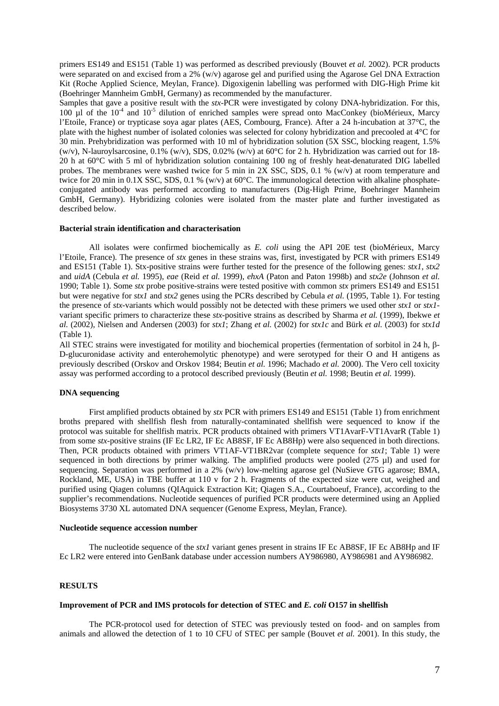primers ES149 and ES151 (Table 1) was performed as described previously (Bouvet *et al.* 2002). PCR products were separated on and excised from a 2% (w/v) agarose gel and purified using the Agarose Gel DNA Extraction Kit (Roche Applied Science, Meylan, France). Digoxigenin labelling was performed with DIG-High Prime kit (Boehringer Mannheim GmbH, Germany) as recommended by the manufacturer.

Samples that gave a positive result with the *stx-*PCR were investigated by colony DNA-hybridization. For this, 100  $\mu$ l of the 10<sup>-4</sup> and 10<sup>-5</sup> dilution of enriched samples were spread onto MacConkey (bioMérieux, Marcy l'Etoile, France) or trypticase soya agar plates (AES, Combourg, France). After a 24 h-incubation at 37°C, the plate with the highest number of isolated colonies was selected for colony hybridization and precooled at 4°C for 30 min. Prehybridization was performed with 10 ml of hybridization solution (5X SSC, blocking reagent, 1.5% (w/v), N-lauroylsarcosine,  $0.1\%$  (w/v), SDS,  $0.02\%$  (w/v) at 60°C for 2 h. Hybridization was carried out for 18-20 h at 60°C with 5 ml of hybridization solution containing 100 ng of freshly heat-denaturated DIG labelled probes. The membranes were washed twice for 5 min in 2X SSC, SDS, 0.1 % (w/v) at room temperature and twice for 20 min in 0.1X SSC, SDS, 0.1 % (w/v) at 60°C. The immunological detection with alkaline phosphateconjugated antibody was performed according to manufacturers (Dig-High Prime, Boehringer Mannheim GmbH, Germany). Hybridizing colonies were isolated from the master plate and further investigated as described below.

### **Bacterial strain identification and characterisation**

 All isolates were confirmed biochemically as *E. coli* using the API 20E test (bioMérieux, Marcy l'Etoile, France). The presence of *stx* genes in these strains was, first, investigated by PCR with primers ES149 and ES151 (Table 1). Stx-positive strains were further tested for the presence of the following genes: *stx1*, *stx2* and *uidA* (Cebula *et al.* 1995), *eae* (Reid *et al.* 1999), *ehxA* (Paton and Paton 1998b) and *stx2e* (Johnson *et al.* 1990; Table 1). Some *stx* probe positive-strains were tested positive with common *stx* primers ES149 and ES151 but were negative for *stx1* and *stx2* genes using the PCRs described by Cebula *et al.* (1995, Table 1). For testing the presence of *stx*-variants which would possibly not be detected with these primers we used other *stx1* or *stx1* variant specific primers to characterize these *stx-*positive strains as described by Sharma *et al.* (1999), Ibekwe *et al.* (2002), Nielsen and Andersen (2003) for *stx1*; Zhang *et al.* (2002) for *stx1c* and Bürk *et al.* (2003) for *stx1d* (Table 1)*.*

All STEC strains were investigated for motility and biochemical properties (fermentation of sorbitol in 24 h, β-D-glucuronidase activity and enterohemolytic phenotype) and were serotyped for their O and H antigens as previously described (Orskov and Orskov 1984; Beutin *et al.* 1996; Machado *et al.* 2000). The Vero cell toxicity assay was performed according to a protocol described previously (Beutin *et al.* 1998; Beutin *et al.* 1999).

#### **DNA sequencing**

 First amplified products obtained by *stx* PCR with primers ES149 and ES151 (Table 1) from enrichment broths prepared with shellfish flesh from naturally-contaminated shellfish were sequenced to know if the protocol was suitable for shellfish matrix. PCR products obtained with primers VT1AvarF-VT1AvarR (Table 1) from some *stx-*positive strains (IF Ec LR2, IF Ec AB8SF, IF Ec AB8Hp) were also sequenced in both directions. Then, PCR products obtained with primers VT1AF-VT1BR2var (complete sequence for *stx1*; Table 1) were sequenced in both directions by primer walking. The amplified products were pooled (275 µl) and used for sequencing. Separation was performed in a 2% (w/v) low-melting agarose gel (NuSieve GTG agarose; BMA, Rockland, ME, USA) in TBE buffer at 110 v for 2 h. Fragments of the expected size were cut, weighed and purified using Qiagen columns (QIAquick Extraction Kit; Qiagen S.A., Courtaboeuf, France), according to the supplier's recommendations. Nucleotide sequences of purified PCR products were determined using an Applied Biosystems 3730 XL automated DNA sequencer (Genome Express, Meylan, France).

### **Nucleotide sequence accession number**

 The nucleotide sequence of the *stx1* variant genes present in strains IF Ec AB8SF, IF Ec AB8Hp and IF Ec LR2 were entered into GenBank database under accession numbers AY986980, AY986981 and AY986982.

#### **RESULTS**

#### **Improvement of PCR and IMS protocols for detection of STEC and** *E. coli* **O157 in shellfish**

 The PCR-protocol used for detection of STEC was previously tested on food- and on samples from animals and allowed the detection of 1 to 10 CFU of STEC per sample (Bouvet *et al.* 2001). In this study, the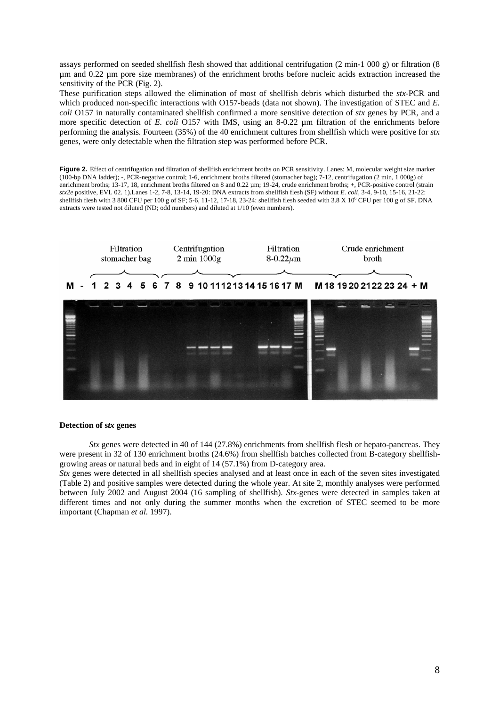assays performed on seeded shellfish flesh showed that additional centrifugation (2 min-1 000 g) or filtration (8 µm and 0.22 µm pore size membranes) of the enrichment broths before nucleic acids extraction increased the sensitivity of the PCR (Fig. 2).

These purification steps allowed the elimination of most of shellfish debris which disturbed the *stx*-PCR and which produced non-specific interactions with O157-beads (data not shown). The investigation of STEC and *E*. *coli* O157 in naturally contaminated shellfish confirmed a more sensitive detection of *stx* genes by PCR, and a more specific detection of *E. coli* O157 with IMS, using an 8-0.22 µm filtration of the enrichments before performing the analysis. Fourteen (35%) of the 40 enrichment cultures from shellfish which were positive for *stx* genes, were only detectable when the filtration step was performed before PCR.

Figure 2. Effect of centrifugation and filtration of shellfish enrichment broths on PCR sensitivity. Lanes: M, molecular weight size marker (100-bp DNA ladder); -, PCR-negative control; 1-6, enrichment broths filtered (stomacher bag); 7-12, centrifugation (2 min, 1 000g) of enrichment broths; 13-17, 18, enrichment broths filtered on 8 and 0.22 µm; 19-24, crude enrichment broths; +, PCR-positive control (strain *stx2e* positive, EVL 02. 1).Lanes 1-2, 7-8, 13-14, 19-20: DNA extracts from shellfish flesh (SF) without *E. coli*, 3-4, 9-10, 15-16, 21-22: shellfish flesh with 3 800 CFU per 100 g of SF; 5-6, 11-12, 17-18, 23-24: shellfish flesh seeded with 3.8 X 10<sup>6</sup> CFU per 100 g of SF. DNA extracts were tested not diluted (ND; odd numbers) and diluted at 1/10 (even numbers).



#### **Detection of s***tx* **genes**

*Stx* genes were detected in 40 of 144 (27.8%) enrichments from shellfish flesh or hepato-pancreas. They were present in 32 of 130 enrichment broths (24.6%) from shellfish batches collected from B-category shellfishgrowing areas or natural beds and in eight of 14 (57.1%) from D-category area.

*Stx* genes were detected in all shellfish species analysed and at least once in each of the seven sites investigated (Table 2) and positive samples were detected during the whole year. At site 2, monthly analyses were performed between July 2002 and August 2004 (16 sampling of shellfish). *Stx*-genes were detected in samples taken at different times and not only during the summer months when the excretion of STEC seemed to be more important (Chapman *et al.* 1997).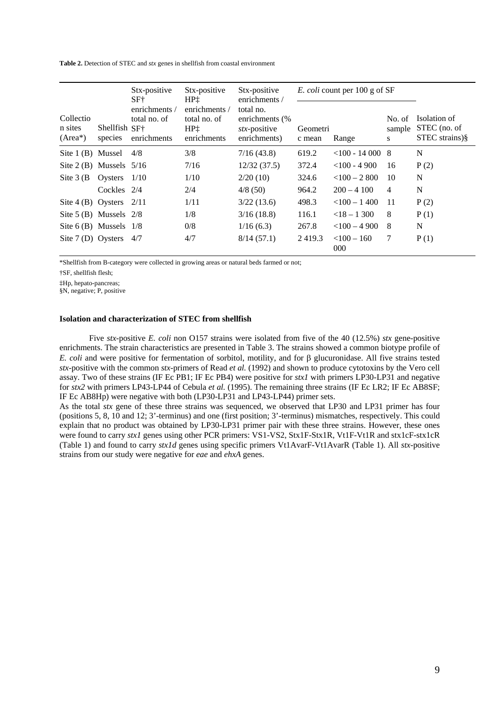**Table 2.** Detection of STEC and *stx* genes in shellfish from coastal environment

|                                    | Shellfish SF <sup>+</sup><br>species | Stx-positive<br>SF†<br>enrichments /<br>total no. of<br>enrichments | Stx-positive<br>HP <sub>1</sub><br>enrichments /<br>total no. of<br>HP <sub>1</sub><br>enrichments | Stx-positive<br>enrichments /<br>total no.<br>enrichments (%<br>stx-positive<br>enrichments) |                    | <i>E. coli</i> count per 100 g of SF |                       |                                                |
|------------------------------------|--------------------------------------|---------------------------------------------------------------------|----------------------------------------------------------------------------------------------------|----------------------------------------------------------------------------------------------|--------------------|--------------------------------------|-----------------------|------------------------------------------------|
| Collectio<br>n sites<br>$(Area^*)$ |                                      |                                                                     |                                                                                                    |                                                                                              | Geometri<br>c mean | Range                                | No. of<br>sample<br>S | Isolation of<br>STEC (no. of<br>STEC strains)§ |
| Site 1(B) Mussel                   |                                      | 4/8                                                                 | 3/8                                                                                                | 7/16(43.8)                                                                                   | 619.2              | $<100 - 140008$                      |                       | N                                              |
| Site $2(B)$ Mussels $5/16$         |                                      |                                                                     | 7/16                                                                                               | 12/32(37.5)                                                                                  | 372.4              | $<$ 100 - 4 900                      | 16                    | P(2)                                           |
| Site $3(B)$                        | Oysters                              | 1/10                                                                | 1/10                                                                                               | 2/20(10)                                                                                     | 324.6              | $<$ 100 - 2 800                      | 10                    | N                                              |
|                                    | Cockles $2/4$                        |                                                                     | 2/4                                                                                                | 4/8(50)                                                                                      | 964.2              | $200 - 4100$                         | $\overline{4}$        | N                                              |
| Site $4(B)$ Oysters                |                                      | 2/11                                                                | 1/11                                                                                               | 3/22(13.6)                                                                                   | 498.3              | $<$ 100 - 1400                       | 11                    | P(2)                                           |
| Site $5$ (B) Mussels $2/8$         |                                      |                                                                     | 1/8                                                                                                | 3/16(18.8)                                                                                   | 116.1              | $<$ 18 – 1 300                       | 8                     | P(1)                                           |
| Site $6(B)$ Mussels $1/8$          |                                      |                                                                     | 0/8                                                                                                | 1/16(6.3)                                                                                    | 267.8              | $<100 - 4900$                        | 8                     | N                                              |
| Site $7(D)$ Oysters                |                                      | 4/7                                                                 | 4/7                                                                                                | 8/14(57.1)                                                                                   | 2419.3             | $< 100 - 160$<br>000                 | 7                     | P(1)                                           |

\*Shellfish from B-category were collected in growing areas or natural beds farmed or not;

†SF, shellfish flesh;

‡Hp, hepato-pancreas;

§N, negative; P, positive

#### **Isolation and characterization of STEC from shellfish**

 Five *stx*-positive *E. coli* non O157 strains were isolated from five of the 40 (12.5%) *stx* gene-positive enrichments. The strain characteristics are presented in Table 3. The strains showed a common biotype profile of *E. coli* and were positive for fermentation of sorbitol, motility, and for β glucuronidase. All five strains tested *stx*-positive with the common *stx*-primers of Read *et al.* (1992) and shown to produce cytotoxins by the Vero cell assay. Two of these strains (IF Ec PB1; IF Ec PB4) were positive for *stx1* with primers LP30-LP31 and negative for *stx2* with primers LP43-LP44 of Cebula *et al.* (1995). The remaining three strains (IF Ec LR2; IF Ec AB8SF; IF Ec AB8Hp) were negative with both (LP30-LP31 and LP43-LP44) primer sets.

As the total *stx* gene of these three strains was sequenced, we observed that LP30 and LP31 primer has four (positions 5, 8, 10 and 12; 3'-terminus) and one (first position; 3'-terminus) mismatches, respectively. This could explain that no product was obtained by LP30-LP31 primer pair with these three strains. However, these ones were found to carry *stx1* genes using other PCR primers: VS1-VS2, Stx1F-Stx1R, Vt1F-Vt1R and stx1cF-stx1cR (Table 1) and found to carry *stx1d* genes using specific primers Vt1AvarF-Vt1AvarR (Table 1). All *stx*-positive strains from our study were negative for *eae* and *ehxA* genes.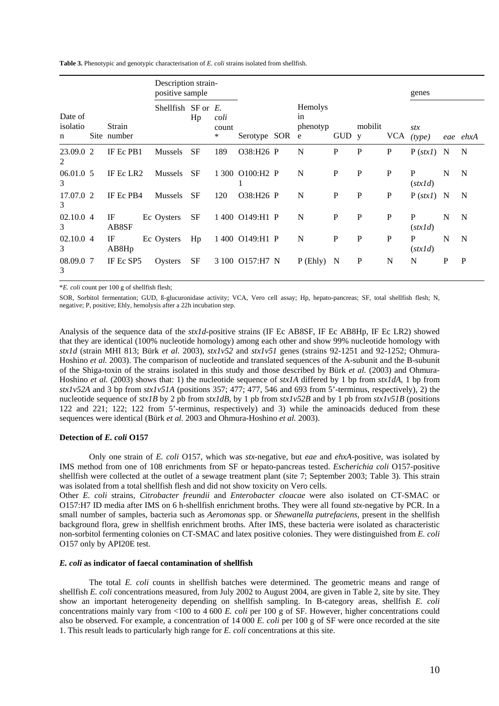**Table 3.** Phenotypic and genotypic characterisation of *E. coli* strains isolated from shellfish.

|                          |  |                       | Description strain-<br>positive sample |           |                    |                             |                                |              |             |             | genes                  |             |              |
|--------------------------|--|-----------------------|----------------------------------------|-----------|--------------------|-----------------------------|--------------------------------|--------------|-------------|-------------|------------------------|-------------|--------------|
| Date of<br>isolatio<br>n |  | Strain<br>Site number | Shellfish SF or $E$ .                  | Hp        | coli<br>count<br>* | Serotype SOR                | Hemolys<br>in<br>phenotyp<br>e | GUD y        | mobilit     | <b>VCA</b>  | stx<br>(type)          |             | eae ehxA     |
| 23.09.0 2<br>2           |  | IF Ec PB1             | <b>Mussels</b>                         | <b>SF</b> | 189                | O38:H26 P                   | N                              | $\mathbf P$  | P           | ${\bf P}$   | $P (stxI)$ N           |             | N            |
| 06.01.05<br>3            |  | IF Ec LR <sub>2</sub> | <b>Mussels</b>                         | <b>SF</b> |                    | 1 300 O100:H <sub>2</sub> P | N                              | $\mathbf P$  | P           | $\mathbf P$ | $\mathbf P$<br>(stxId) | N           | N            |
| 17.07.0 2<br>3           |  | IF Ec PB4             | <b>Mussels</b>                         | <b>SF</b> | 120                | O38:H26 P                   | N                              | $\mathbf{P}$ | P           | P           | P (stx1)               | $\mathbf N$ | N            |
| 02.10.04<br>3            |  | IF<br>AB8SF           | Ec Oysters                             | <b>SF</b> |                    | 1 400 O149:H1 P             | N                              | $\mathbf{P}$ | P           | P           | $\mathbf P$<br>(stxId) | N           | N            |
| 02.10.04<br>3            |  | IF<br>AB8Hp           | Ec Oysters                             | Hp        |                    | 1 400 O149:H1 P             | N                              | P            | P           | P           | P<br>(stxId)           | N           | N            |
| 08.09.0 7<br>3           |  | IF Ec SP5             | Oysters                                | SF        |                    | 3 100 O157:H7 N             | P(Ehly)                        | $\mathbf N$  | $\mathbf P$ | N           | $\mathbf N$            | $\mathbf P$ | $\mathbf{P}$ |

\**E. coli* count per 100 g of shellfish flesh;

SOR, Sorbitol fermentation; GUD, ß-glucuronidase activity; VCA, Vero cell assay; Hp, hepato-pancreas; SF, total shellfish flesh; N, negative; P, positive; Ehly, hemolysis after a 22h incubation step.

Analysis of the sequence data of the *stx1d*-positive strains (IF Ec AB8SF, IF Ec AB8Hp, IF Ec LR2) showed that they are identical (100% nucleotide homology) among each other and show 99% nucleotide homology with *stx1d* (strain MHI 813; Bürk *et al.* 2003), *stx1v52* and *stx1v51* genes (strains 92-1251 and 92-1252; Ohmura-Hoshino *et al.* 2003). The comparison of nucleotide and translated sequences of the A-subunit and the B-subunit of the Shiga-toxin of the strains isolated in this study and those described by Bürk *et al.* (2003) and Ohmura-Hoshino *et al.* (2003) shows that: 1) the nucleotide sequence of *stx1A* differed by 1 bp from *stx1dA*, 1 bp from *stx1v52A* and 3 bp from *stx1v51A* (positions 357; 477; 477, 546 and 693 from 5'-terminus, respectively), 2) the nucleotide sequence of  $\frac{sx}{B}$  by 2 pb from  $\frac{sx}{dB}$ , by 1 pb from  $\frac{sx}{v52B}$  and by 1 pb from  $\frac{sx}{v51B}$  (positions 122 and 221; 122; 122 from 5'-terminus, respectively) and 3) while the aminoacids deduced from these sequences were identical (Bürk *et al.* 2003 and Ohmura-Hoshino *et al.* 2003).

### **Detection of** *E. coli* **O157**

 Only one strain of *E. coli* O157, which was *stx*-negative, but *eae* and *ehxA*-positive, was isolated by IMS method from one of 108 enrichments from SF or hepato-pancreas tested. *Escherichia coli* O157-positive shellfish were collected at the outlet of a sewage treatment plant (site 7; September 2003; Table 3). This strain was isolated from a total shellfish flesh and did not show toxicity on Vero cells.

Other *E. coli* strains, *Citrobacter freundii* and *Enterobacter cloacae* were also isolated on CT-SMAC or O157:H7 ID media after IMS on 6 h-shellfish enrichment broths. They were all found *stx-*negative by PCR. In a small number of samples, bacteria such as *Aeromonas* spp. or *Shewanella putrefaciens,* present in the shellfish background flora, grew in shellfish enrichment broths. After IMS, these bacteria were isolated as characteristic non-sorbitol fermenting colonies on CT-SMAC and latex positive colonies. They were distinguished from *E. coli* O157 only by API20E test.

### *E. coli* **as indicator of faecal contamination of shellfish**

 The total *E. coli* counts in shellfish batches were determined. The geometric means and range of shellfish *E. coli* concentrations measured, from July 2002 to August 2004, are given in Table 2, site by site. They show an important heterogeneity depending on shellfish sampling. In B-category areas, shellfish *E. coli* concentrations mainly vary from <100 to 4 600 *E. coli* per 100 g of SF. However, higher concentrations could also be observed. For example, a concentration of 14 000 *E. coli* per 100 g of SF were once recorded at the site 1. This result leads to particularly high range for *E. coli* concentrations at this site.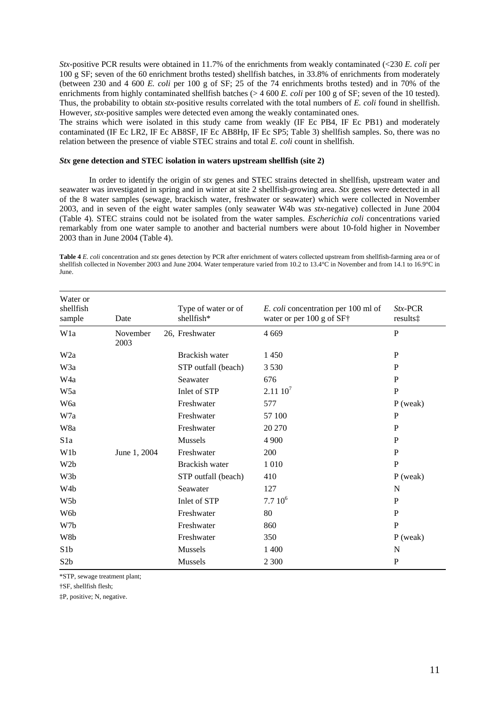*Stx-*positive PCR results were obtained in 11.7% of the enrichments from weakly contaminated (<230 *E. coli* per 100 g SF; seven of the 60 enrichment broths tested) shellfish batches, in 33.8% of enrichments from moderately (between 230 and 4 600 *E. coli* per 100 g of SF; 25 of the 74 enrichments broths tested) and in 70% of the enrichments from highly contaminated shellfish batches (> 4 600 *E. coli* per 100 g of SF; seven of the 10 tested). Thus, the probability to obtain *stx*-positive results correlated with the total numbers of *E. coli* found in shellfish. However, *stx-*positive samples were detected even among the weakly contaminated ones.

The strains which were isolated in this study came from weakly (IF Ec PB4, IF Ec PB1) and moderately contaminated (IF Ec LR2, IF Ec AB8SF, IF Ec AB8Hp, IF Ec SP5; Table 3) shellfish samples. So, there was no relation between the presence of viable STEC strains and total *E. coli* count in shellfish.

### *Stx* **gene detection and STEC isolation in waters upstream shellfish (site 2)**

 In order to identify the origin of *stx* genes and STEC strains detected in shellfish, upstream water and seawater was investigated in spring and in winter at site 2 shellfish-growing area. *Stx* genes were detected in all of the 8 water samples (sewage, brackisch water, freshwater or seawater) which were collected in November 2003, and in seven of the eight water samples (only seawater W4b was *stx*-negative) collected in June 2004 (Table 4). STEC strains could not be isolated from the water samples. *Escherichia coli* concentrations varied remarkably from one water sample to another and bacterial numbers were about 10-fold higher in November 2003 than in June 2004 (Table 4).

**Table 4** *E. coli* concentration and *stx* genes detection by PCR after enrichment of waters collected upstream from shellfish-farming area or of shellfish collected in November 2003 and June 2004. Water temperature varied from 10.2 to 13.4°C in November and from 14.1 to 16.9°C in June.

| Water or<br>shellfish<br>sample | Date             | Type of water or of<br>shellfish* | E. coli concentration per 100 ml of<br>water or per 100 g of SF† | $Stx$ -PCR<br>results <sup>†</sup> |
|---------------------------------|------------------|-----------------------------------|------------------------------------------------------------------|------------------------------------|
| W1a                             | November<br>2003 | 26, Freshwater                    | 4 6 6 9                                                          | $\mathbf{P}$                       |
| W <sub>2</sub> a                |                  | Brackish water                    | 1450                                                             | P                                  |
| W3a                             |                  | STP outfall (beach)               | 3 5 3 0                                                          | P                                  |
| W4a                             |                  | Seawater                          | 676                                                              | P                                  |
| W5a                             |                  | Inlet of STP                      | $2.11\,10^7$                                                     | P                                  |
| W6a                             |                  | Freshwater                        | 577                                                              | $P$ (weak)                         |
| W7a                             |                  | Freshwater                        | 57 100                                                           | $\mathbf{P}$                       |
| W8a                             |                  | Freshwater                        | 20 270                                                           | $\mathbf{P}$                       |
| S <sub>1</sub> a                |                  | Mussels                           | 4 9 0 0                                                          | P                                  |
| W1b                             | June 1, 2004     | Freshwater                        | 200                                                              | P                                  |
| W <sub>2</sub> b                |                  | Brackish water                    | 1 0 1 0                                                          | $\mathbf P$                        |
| W3b                             |                  | STP outfall (beach)               | 410                                                              | $P$ (weak)                         |
| W4b                             |                  | Seawater                          | 127                                                              | N                                  |
| W <sub>5</sub> b                |                  | Inlet of STP                      | $7.710^6$                                                        | $\mathbf P$                        |
| W6b                             |                  | Freshwater                        | 80                                                               | $\mathbf{P}$                       |
| W7b                             |                  | Freshwater                        | 860                                                              | $\mathbf{P}$                       |
| W8b                             |                  | Freshwater                        | 350                                                              | $P$ (weak)                         |
| S <sub>1</sub> b                |                  | Mussels                           | 1 400                                                            | N                                  |
| S <sub>2</sub> b                |                  | Mussels                           | 2 3 0 0                                                          | $\mathbf{P}$                       |

\*STP, sewage treatment plant;

†SF, shellfish flesh;

‡P, positive; N, negative.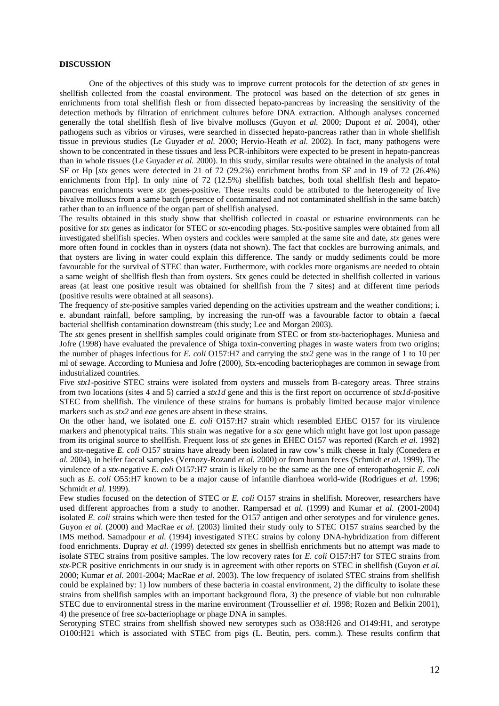### **DISCUSSION**

 One of the objectives of this study was to improve current protocols for the detection of *stx* genes in shellfish collected from the coastal environment. The protocol was based on the detection of *stx* genes in enrichments from total shellfish flesh or from dissected hepato-pancreas by increasing the sensitivity of the detection methods by filtration of enrichment cultures before DNA extraction. Although analyses concerned generally the total shellfish flesh of live bivalve molluscs (Guyon *et al.* 2000; Dupont *et al.* 2004), other pathogens such as vibrios or viruses, were searched in dissected hepato-pancreas rather than in whole shellfish tissue in previous studies (Le Guyader *et al.* 2000; Hervio-Heath *et al.* 2002). In fact, many pathogens were shown to be concentrated in these tissues and less PCR-inhibitors were expected to be present in hepato-pancreas than in whole tissues (Le Guyader *et al.* 2000). In this study, similar results were obtained in the analysis of total SF or Hp [*stx* genes were detected in 21 of 72 (29.2%) enrichment broths from SF and in 19 of 72 (26.4%) enrichments from Hp]. In only nine of 72 (12.5%) shellfish batches, both total shellfish flesh and hepatopancreas enrichments were *stx* genes-positive. These results could be attributed to the heterogeneity of live bivalve molluscs from a same batch (presence of contaminated and not contaminated shellfish in the same batch) rather than to an influence of the organ part of shellfish analysed.

The results obtained in this study show that shellfish collected in coastal or estuarine environments can be positive for *stx* genes as indicator for STEC or *stx*-encoding phages. Stx-positive samples were obtained from all investigated shellfish species. When oysters and cockles were sampled at the same site and date, *stx* genes were more often found in cockles than in oysters (data not shown). The fact that cockles are burrowing animals, and that oysters are living in water could explain this difference. The sandy or muddy sediments could be more favourable for the survival of STEC than water. Furthermore, with cockles more organisms are needed to obtain a same weight of shellfish flesh than from oysters. Stx genes could be detected in shellfish collected in various areas (at least one positive result was obtained for shellfish from the 7 sites) and at different time periods (positive results were obtained at all seasons).

The frequency of *stx-*positive samples varied depending on the activities upstream and the weather conditions; i. e. abundant rainfall, before sampling, by increasing the run-off was a favourable factor to obtain a faecal bacterial shellfish contamination downstream (this study; Lee and Morgan 2003).

The *stx* genes present in shellfish samples could originate from STEC or from *stx*-bacteriophages. Muniesa and Jofre (1998) have evaluated the prevalence of Shiga toxin-converting phages in waste waters from two origins; the number of phages infectious for *E. coli* O157:H7 and carrying the *stx2* gene was in the range of 1 to 10 per ml of sewage. According to Muniesa and Jofre (2000), Stx-encoding bacteriophages are common in sewage from industrialized countries.

Five *stx1*-positive STEC strains were isolated from oysters and mussels from B-category areas. Three strains from two locations (sites 4 and 5) carried a *stx1d* gene and this is the first report on occurrence of *stx1d*-positive STEC from shellfish. The virulence of these strains for humans is probably limited because major virulence markers such as *stx2* and *eae* genes are absent in these strains.

On the other hand, we isolated one *E. coli* O157:H7 strain which resembled EHEC O157 for its virulence markers and phenotypical traits. This strain was negative for a *stx* gene which might have got lost upon passage from its original source to shellfish. Frequent loss of *stx* genes in EHEC O157 was reported (Karch *et al.* 1992) and *stx*-negative *E. coli* O157 strains have already been isolated in raw cow's milk cheese in Italy (Conedera *et al.* 2004), in heifer faecal samples (Vernozy-Rozand *et al.* 2000) or from human feces (Schmidt *et al.* 1999). The virulence of a *stx*-negative *E. coli* O157:H7 strain is likely to be the same as the one of enteropathogenic *E. coli* such as *E. coli* O55:H7 known to be a major cause of infantile diarrhoea world-wide (Rodrigues *et al.* 1996; Schmidt *et al.* 1999).

Few studies focused on the detection of STEC or *E. coli* O157 strains in shellfish. Moreover, researchers have used different approaches from a study to another. Rampersad *et al.* (1999) and Kumar *et al.* (2001-2004) isolated *E. coli* strains which were then tested for the O157 antigen and other serotypes and for virulence genes. Guyon *et al*. (2000) and MacRae *et al.* (2003) limited their study only to STEC O157 strains searched by the IMS method. Samadpour *et al.* (1994) investigated STEC strains by colony DNA-hybridization from different food enrichments. Dupray *et al.* (1999) detected *stx* genes in shellfish enrichments but no attempt was made to isolate STEC strains from positive samples. The low recovery rates for *E. coli* O157:H7 for STEC strains from *stx-*PCR positive enrichments in our study is in agreement with other reports on STEC in shellfish (Guyon *et al.* 2000; Kumar *et al.* 2001-2004; MacRae *et al.* 2003). The low frequency of isolated STEC strains from shellfish could be explained by: 1) low numbers of these bacteria in coastal environment, 2) the difficulty to isolate these strains from shellfish samples with an important background flora, 3) the presence of viable but non culturable STEC due to environnental stress in the marine environment (Troussellier *et al.* 1998; Rozen and Belkin 2001), 4) the presence of free *stx*-bacteriophage or phage DNA in samples.

Serotyping STEC strains from shellfish showed new serotypes such as O38:H26 and O149:H1, and serotype O100:H21 which is associated with STEC from pigs (L. Beutin, pers. comm.). These results confirm that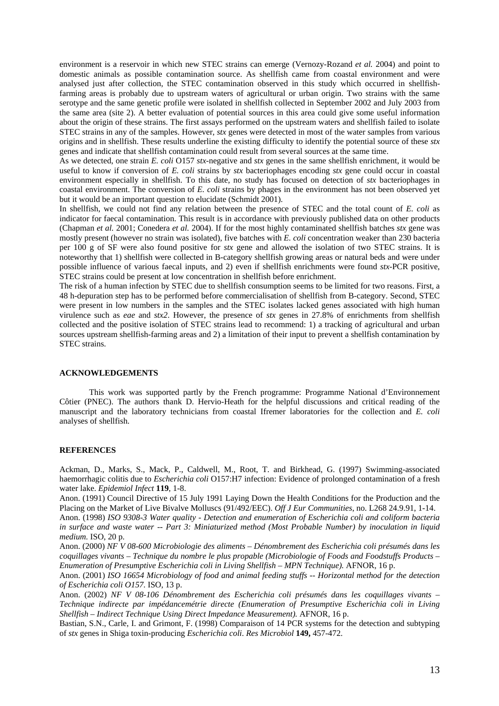environment is a reservoir in which new STEC strains can emerge (Vernozy-Rozand *et al.* 2004) and point to domestic animals as possible contamination source. As shellfish came from coastal environment and were analysed just after collection, the STEC contamination observed in this study which occurred in shellfishfarming areas is probably due to upstream waters of agricultural or urban origin. Two strains with the same serotype and the same genetic profile were isolated in shellfish collected in September 2002 and July 2003 from the same area (site 2). A better evaluation of potential sources in this area could give some useful information about the origin of these strains. The first assays performed on the upstream waters and shellfish failed to isolate STEC strains in any of the samples. However, *stx* genes were detected in most of the water samples from various origins and in shellfish. These results underline the existing difficulty to identify the potential source of these *stx* genes and indicate that shellfish contamination could result from several sources at the same time.

As we detected, one strain *E. coli* O157 *stx*-negative and *stx* genes in the same shellfish enrichment, it would be useful to know if conversion of *E. coli* strains by *stx* bacteriophages encoding *stx* gene could occur in coastal environment especially in shellfish. To this date, no study has focused on detection of *stx* bacteriophages in coastal environment. The conversion of *E. coli* strains by phages in the environment has not been observed yet but it would be an important question to elucidate (Schmidt 2001).

In shellfish, we could not find any relation between the presence of STEC and the total count of *E. coli* as indicator for faecal contamination. This result is in accordance with previously published data on other products (Chapman *et al.* 2001; Conedera *et al.* 2004). If for the most highly contaminated shellfish batches *stx* gene was mostly present (however no strain was isolated), five batches with *E. coli* concentration weaker than 230 bacteria per 100 g of SF were also found positive for *stx* gene and allowed the isolation of two STEC strains. It is noteworthy that 1) shellfish were collected in B-category shellfish growing areas or natural beds and were under possible influence of various faecal inputs, and 2) even if shellfish enrichments were found *stx-*PCR positive, STEC strains could be present at low concentration in shellfish before enrichment.

The risk of a human infection by STEC due to shellfish consumption seems to be limited for two reasons. First, a 48 h-depuration step has to be performed before commercialisation of shellfish from B-category. Second, STEC were present in low numbers in the samples and the STEC isolates lacked genes associated with high human virulence such as *eae* and *stx2*. However, the presence of *stx* genes in 27.8% of enrichments from shellfish collected and the positive isolation of STEC strains lead to recommend: 1) a tracking of agricultural and urban sources upstream shellfish-farming areas and 2) a limitation of their input to prevent a shellfish contamination by STEC strains.

### **ACKNOWLEDGEMENTS**

 This work was supported partly by the French programme: Programme National d'Environnement Côtier (PNEC). The authors thank D. Hervio-Heath for the helpful discussions and critical reading of the manuscript and the laboratory technicians from coastal Ifremer laboratories for the collection and *E. coli*  analyses of shellfish.

#### **REFERENCES**

Ackman, D., Marks, S., Mack, P., Caldwell, M., Root, T. and Birkhead, G. (1997) Swimming-associated haemorrhagic colitis due to *Escherichia coli* O157:H7 infection: Evidence of prolonged contamination of a fresh water lake. *Epidemiol Infect* **119**, 1-8.

Anon. (1991) Council Directive of 15 July 1991 Laying Down the Health Conditions for the Production and the Placing on the Market of Live Bivalve Molluscs (91/492/EEC). *Off J Eur Communities*, no. L268 24.9.91, 1-14.

Anon. (1998) *ISO 9308-3 Water quality - Detection and enumeration of Escherichia coli and coliform bacteria in surface and waste water -- Part 3: Miniaturized method (Most Probable Number) by inoculation in liquid medium.* ISO, 20 p.

Anon. (2000) *NF V 08-600 Microbiologie des aliments – Dénombrement des Escherichia coli présumés dans les coquillages vivants – Technique du nombre le plus propable (Microbiologie of Foods and Foodstuffs Products – Enumeration of Presumptive Escherichia coli in Living Shellfish – MPN Technique).* AFNOR, 16 p.

Anon. (2001) *ISO 16654 Microbiology of food and animal feeding stuffs -- Horizontal method for the detection of Escherichia coli O157.* ISO, 13 p.

Anon. (2002) *NF V 08-106 Dénombrement des Escherichia coli présumés dans les coquillages vivants – Technique indirecte par impédancemétrie directe (Enumeration of Presumptive Escherichia coli in Living Shellfish – Indirect Technique Using Direct Impedance Measurement).* AFNOR, 16 p.

Bastian, S.N., Carle, I. and Grimont, F. (1998) Comparaison of 14 PCR systems for the detection and subtyping of *stx* genes in Shiga toxin-producing *Escherichia coli*. *Res Microbiol* **149,** 457-472.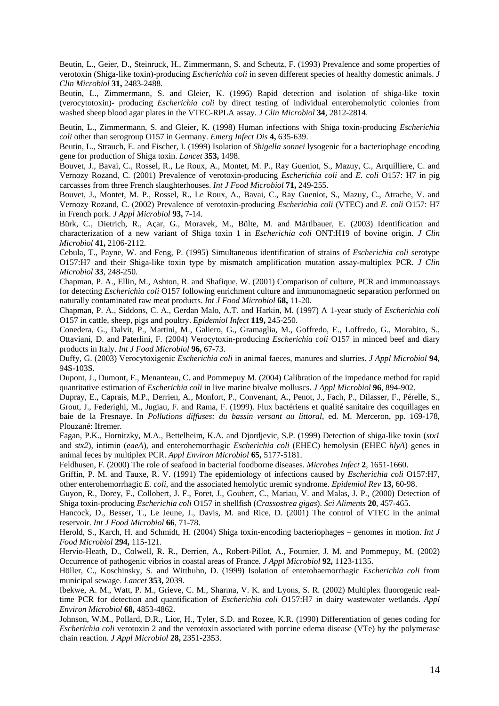Beutin, L., Geier, D., Steinruck, H., Zimmermann, S. and Scheutz, F. (1993) Prevalence and some properties of verotoxin (Shiga-like toxin)-producing *Escherichia coli* in seven different species of healthy domestic animals. *J Clin Microbiol* **31,** 2483-2488.

Beutin, L., Zimmermann, S. and Gleier, K. (1996) Rapid detection and isolation of shiga-like toxin (verocytotoxin)- producing *Escherichia coli* by direct testing of individual enterohemolytic colonies from washed sheep blood agar plates in the VTEC-RPLA assay. *J Clin Microbiol* **34**, 2812-2814.

Beutin, L., Zimmermann, S. and Gleier, K. (1998) Human infections with Shiga toxin-producing *Escherichia coli* other than serogroup O157 in Germany. *Emerg Infect Dis* **4,** 635-639.

Beutin, L., Strauch, E. and Fischer, I. (1999) Isolation of *Shigella sonnei* lysogenic for a bacteriophage encoding gene for production of Shiga toxin. *Lancet* **353,** 1498.

Bouvet, J., Bavai, C., Rossel, R., Le Roux, A., Montet, M. P., Ray Gueniot, S., Mazuy, C., Arquilliere, C. and Vernozy Rozand, C. (2001) Prevalence of verotoxin-producing *Escherichia coli* and *E. coli* O157: H7 in pig carcasses from three French slaughterhouses. *Int J Food Microbiol* **71,** 249-255.

Bouvet, J., Montet, M. P., Rossel, R., Le Roux, A., Bavai, C., Ray Gueniot, S., Mazuy, C., Atrache, V. and Vernozy Rozand, C. (2002) Prevalence of verotoxin-producing *Escherichia coli* (VTEC) and *E. coli* O157: H7 in French pork. *J Appl Microbiol* **93,** 7-14.

Bürk, C., Dietrich, R., Açar, G., Moravek, M., Bülte, M. and Märtlbauer, E. (2003) Identification and characterization of a new variant of Shiga toxin 1 in *Escherichia coli* ONT:H19 of bovine origin. *J Clin Microbiol* **41,** 2106-2112.

Cebula, T., Payne, W. and Feng, P. (1995) Simultaneous identification of strains of *Escherichia coli* serotype O157:H7 and their Shiga-like toxin type by mismatch amplification mutation assay-multiplex PCR. *J Clin Microbiol* **33**, 248-250.

Chapman, P. A., Ellin, M., Ashton, R. and Shafique, W. (2001) Comparison of culture, PCR and immunoassays for detecting *Escherichia coli* O157 following enrichment culture and immunomagnetic separation performed on naturally contaminated raw meat products. *Int J Food Microbiol* **68,** 11-20.

Chapman, P. A., Siddons, C. A., Gerdan Malo, A.T. and Harkin, M. (1997) A 1-year study of *Escherichia coli* O157 in cattle, sheep, pigs and poultry. *Epidemiol Infect* **119,** 245-250.

Conedera, G., Dalvit, P., Martini, M., Galiero, G., Gramaglia, M., Goffredo, E., Loffredo, G., Morabito, S., Ottaviani, D. and Paterlini, F. (2004) Verocytoxin-producing *Escherichia coli* O157 in minced beef and diary products in Italy. *Int J Food Microbiol* **96,** 67-73.

Duffy, G. (2003) Verocytoxigenic *Escherichia coli* in animal faeces, manures and slurries. *J Appl Microbiol* **94**, 94S-103S.

Dupont, J., Dumont, F., Menanteau, C. and Pommepuy M. (2004) Calibration of the impedance method for rapid quantitative estimation of *Escherichia coli* in live marine bivalve molluscs. *J Appl Microbiol* **96**, 894-902.

Dupray, E., Caprais, M.P., Derrien, A., Monfort, P., Convenant, A., Penot, J., Fach, P., Dilasser, F., Pérelle, S., Grout, J., Federighi, M., Jugiau, F. and Rama, F. (1999). Flux bactériens et qualité sanitaire des coquillages en baie de la Fresnaye. In *Pollutions diffuses: du bassin versant au littoral*, ed. M. Merceron, pp. 169-178, Plouzané: Ifremer.

Fagan, P.K., Hornitzky, M.A., Bettelheim, K.A. and Djordjevic, S.P. (1999) Detection of shiga-like toxin (*stx1* and *stx2*), intimin (*eaeA*), and enterohemorrhagic *Escherichia coli* (EHEC) hemolysin (EHEC *hlyA*) genes in animal feces by multiplex PCR. *Appl Environ Microbiol* **65,** 5177-5181.

Feldhusen, F. (2000) The role of seafood in bacterial foodborne diseases*. Microbes Infect* **2**, 1651-1660.

Griffin, P. M. and Tauxe, R. V. (1991) The epidemiology of infections caused by *Escherichia coli* O157:H7, other enterohemorrhagic *E. coli*, and the associated hemolytic uremic syndrome. *Epidemiol Rev* **13,** 60-98.

Guyon, R., Dorey, F., Collobert, J. F., Foret, J., Goubert, C., Mariau, V. and Malas, J. P., (2000) Detection of Shiga toxin-producing *Escherichia coli* O157 in shellfish (*Crassostrea gigas*). *Sci Aliments* **20**, 457-465.

Hancock, D., Besser, T., Le Jeune, J., Davis, M. and Rice, D. (2001) The control of VTEC in the animal reservoir. *Int J Food Microbiol* **66**, 71-78.

Herold, S., Karch, H. and Schmidt, H. (2004) Shiga toxin-encoding bacteriophages – genomes in motion. *Int J Food Microbiol* **294,** 115-121.

Hervio-Heath, D., Colwell, R. R., Derrien, A., Robert-Pillot, A., Fournier, J. M. and Pommepuy, M. (2002) Occurrence of pathogenic vibrios in coastal areas of France. *J Appl Microbiol* **92,** 1123-1135.

Höller, C., Koschinsky, S. and Witthuhn, D. (1999) Isolation of enterohaemorrhagic *Escherichia coli* from municipal sewage. *Lancet* **353,** 2039.

Ibekwe, A. M., Watt, P. M., Grieve, C. M., Sharma, V. K. and Lyons, S. R. (2002) Multiplex fluorogenic realtime PCR for detection and quantification of *Escherichia coli* O157:H7 in dairy wastewater wetlands. *Appl Environ Microbiol* **68,** 4853-4862.

Johnson, W.M., Pollard, D.R., Lior, H., Tyler, S.D. and Rozee, K.R. (1990) Differentiation of genes coding for *Escherichia coli* verotoxin 2 and the verotoxin associated with porcine edema disease (VTe) by the polymerase chain reaction. *J Appl Microbiol* **28,** 2351-2353.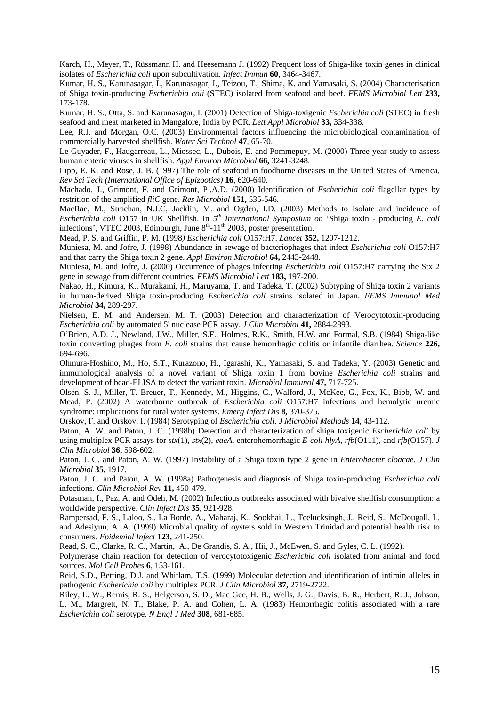Karch, H., Meyer, T., Rüssmann H. and Heesemann J. (1992) Frequent loss of Shiga-like toxin genes in clinical isolates of *Escherichia coli* upon subcultivation*. Infect Immun* **60**, 3464-3467.

Kumar, H. S., Karunasagar, I., Karunasagar, I., Teizou, T., Shima, K. and Yamasaki, S. (2004) Characterisation of Shiga toxin-producing *Escherichia coli* (STEC) isolated from seafood and beef. *FEMS Microbiol Lett* **233,**  173-178.

Kumar, H. S., Otta, S. and Karunasagar, I. (2001) Detection of Shiga-toxigenic *Escherichia coli* (STEC) in fresh seafood and meat marketed in Mangalore, India by PCR. *Lett Appl Microbiol* **33,** 334-338.

Lee, R.J. and Morgan, O.C. (2003) Environmental factors influencing the microbiological contamination of commercially harvested shellfish. *Water Sci Technol* **47**, 65-70.

Le Guyader, F., Haugarreau, L., Miossec, L., Dubois, E. and Pommepuy, M. (2000) Three-year study to assess human enteric viruses in shellfish. *Appl Environ Microbiol* **66,** 3241-3248.

Lipp, E. K. and Rose, J. B. (1997) The role of seafood in foodborne diseases in the United States of America. *Rev Sci Tech (International Office of Epizootics)* **16**, 620-640.

Machado, J., Grimont, F. and Grimont, P .A.D. (2000) Identification of *Escherichia coli* flagellar types by restrition of the amplified *fliC* gene. *Res Microbiol* **151,** 535-546.

MacRae, M., Strachan, N.J.C, Jacklin, M. and Ogden, I.D. (2003) Methods to isolate and incidence of *Escherichia coli* O157 in UK Shellfish. In *5th International Symposium on* 'Shiga toxin - producing *E. coli* infections', VTEC 2003, Edinburgh, June  $8<sup>th</sup>$ -11<sup>th</sup> 2003, poster presentation.

Mead, P. S. and Griffin, P. M. (1998*) Escherichia coli* O157:H7. *Lancet* **352,** 1207-1212.

Muniesa, M. and Jofre, J. (1998) Abundance in sewage of bacteriophages that infect *Escherichia coli* O157:H7 and that carry the Shiga toxin 2 gene. *Appl Environ Microbiol* **64,** 2443-2448.

Muniesa, M. and Jofre, J. (2000) Occurrence of phages infecting *Escherichia coli* O157:H7 carrying the Stx 2 gene in sewage from different countries. *FEMS Microbiol Lett* **183,** 197-200.

Nakao, H., Kimura, K., Murakami, H., Maruyama, T. and Tadeka, T. (2002) Subtyping of Shiga toxin 2 variants in human-derived Shiga toxin-producing *Escherichia coli* strains isolated in Japan. *FEMS Immunol Med Microbiol* **34,** 289-297.

Nielsen, E. M. and Andersen, M. T. (2003) Detection and characterization of Verocytotoxin-producing *Escherichia coli* by automated 5' nuclease PCR assay. *J Clin Microbiol* **41,** 2884-2893.

O'Brien, A.D. J., Newland, J.W., Miller, S.F., Holmes, R.K., Smith, H.W. and Formal, S.B. (1984) Shiga-like toxin converting phages from *E. coli* strains that cause hemorrhagic colitis or infantile diarrhea. *Science* **226,** 694-696.

Ohmura-Hoshino, M., Ho, S.T., Kurazono, H., Igarashi, K., Yamasaki, S. and Tadeka, Y. (2003) Genetic and immunological analysis of a novel variant of Shiga toxin 1 from bovine *Escherichia coli* strains and development of bead-ELISA to detect the variant toxin. *Microbiol Immunol* **47,** 717-725.

Olsen, S. J., Miller, T. Breuer, T., Kennedy, M., Higgins, C., Walford, J., McKee, G., Fox, K., Bibb, W. and Mead, P. (2002) A waterborne outbreak of *Escherichia coli* O157:H7 infections and hemolytic uremic syndrome: implications for rural water systems. *Emerg Infect Dis* **8,** 370-375.

Orskov, F. and Orskov, I. (1984) Serotyping of *Escherichia coli*. *J Microbiol Methods* **14**, 43-112.

Paton, A. W. and Paton, J. C. (1998b) Detection and characterization of shiga toxigenic *Escherichia coli* by using multiplex PCR assays for *stx*(1), *stx*(2), *eaeA*, enterohemorrhagic *E-coli hlyA*, *rfb*(O111), and *rfb(*O157). *J Clin Microbiol* **36,** 598-602.

Paton, J. C. and Paton, A. W. (1997) Instability of a Shiga toxin type 2 gene in *Enterobacter cloacae*. *J Clin Microbiol* **35,** 1917.

Paton, J. C. and Paton, A. W. (1998a) Pathogenesis and diagnosis of Shiga toxin-producing *Escherichia coli* infections. *Clin Microbiol Rev* **11,** 450-479.

Potasman, I., Paz, A. and Odeh, M. (2002) Infectious outbreaks associated with bivalve shellfish consumption: a worldwide perspective. *Clin Infect Dis* **35**, 921-928.

Rampersad, F. S., Laloo, S., La Borde, A., Maharaj, K., Sookhai, L., Teelucksingh, J., Reid, S., McDougall, L. and Adesiyun, A. A. (1999) Microbial quality of oysters sold in Western Trinidad and potential health risk to consumers. *Epidemiol Infect* **123,** 241-250.

Read, S. C., Clarke, R. C., Martin, A., De Grandis, S. A., Hii, J., McEwen, S. and Gyles, C. L. (1992).

Polymerase chain reaction for detection of verocytotoxigenic *Escherichia coli* isolated from animal and food sources. *Mol Cell Probes* **6**, 153-161.

Reid, S.D., Betting, D.J. and Whitlam, T.S. (1999) Molecular detection and identification of intimin alleles in pathogenic *Escherichia coli* by multiplex PCR. *J Clin Microbiol* **37,** 2719-2722.

Riley, L. W., Remis, R. S., Helgerson, S. D., Mac Gee, H. B., Wells, J. G., Davis, B. R., Herbert, R. J., Johson, L. M., Margrett, N. T., Blake, P. A. and Cohen, L. A. (1983) Hemorrhagic colitis associated with a rare *Escherichia coli* serotype. *N Engl J Med* **308**, 681-685.